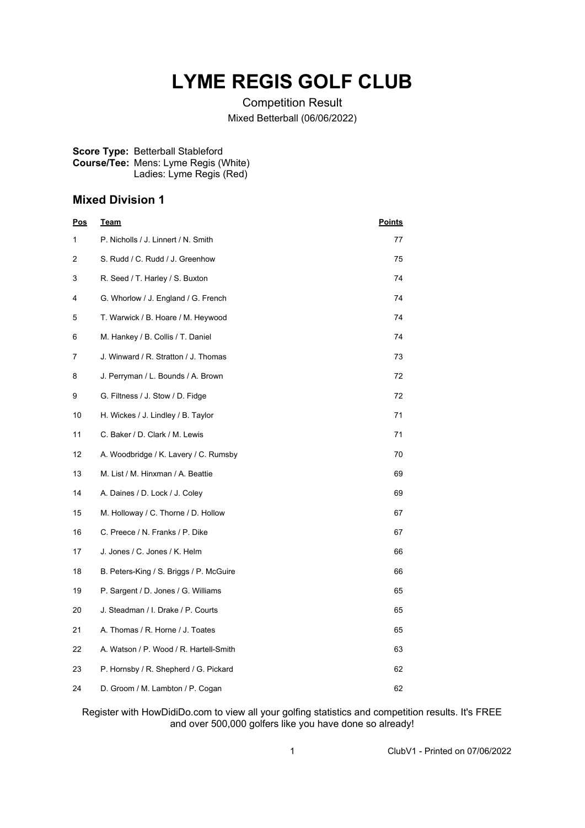## **LYME REGIS GOLF CLUB**

Competition Result Mixed Betterball (06/06/2022)

## **Score Type:** Betterball Stableford **Course/Tee:** Mens: Lyme Regis (White) Ladies: Lyme Regis (Red)

## **Mixed Division 1**

| <b>Pos</b> | <b>Team</b>                             | <b>Points</b> |
|------------|-----------------------------------------|---------------|
| 1          | P. Nicholls / J. Linnert / N. Smith     | 77            |
| 2          | S. Rudd / C. Rudd / J. Greenhow         | 75            |
| 3          | R. Seed / T. Harley / S. Buxton         | 74            |
| 4          | G. Whorlow / J. England / G. French     | 74            |
| 5          | T. Warwick / B. Hoare / M. Heywood      | 74            |
| 6          | M. Hankey / B. Collis / T. Daniel       | 74            |
| 7          | J. Winward / R. Stratton / J. Thomas    | 73            |
| 8          | J. Perryman / L. Bounds / A. Brown      | 72            |
| 9          | G. Filtness / J. Stow / D. Fidge        | 72            |
| 10         | H. Wickes / J. Lindley / B. Taylor      | 71            |
| 11         | C. Baker / D. Clark / M. Lewis          | 71            |
| 12         | A. Woodbridge / K. Lavery / C. Rumsby   | 70            |
| 13         | M. List / M. Hinxman / A. Beattie       | 69            |
| 14         | A. Daines / D. Lock / J. Coley          | 69            |
| 15         | M. Holloway / C. Thorne / D. Hollow     | 67            |
| 16         | C. Preece / N. Franks / P. Dike         | 67            |
| 17         | J. Jones / C. Jones / K. Helm           | 66            |
| 18         | B. Peters-King / S. Briggs / P. McGuire | 66            |
| 19         | P. Sargent / D. Jones / G. Williams     | 65            |
| 20         | J. Steadman / I. Drake / P. Courts      | 65            |
| 21         | A. Thomas / R. Horne / J. Toates        | 65            |
| 22         | A. Watson / P. Wood / R. Hartell-Smith  | 63            |
| 23         | P. Hornsby / R. Shepherd / G. Pickard   | 62            |
| 24         | D. Groom / M. Lambton / P. Cogan        | 62            |

Register with HowDidiDo.com to view all your golfing statistics and competition results. It's FREE and over 500,000 golfers like you have done so already!